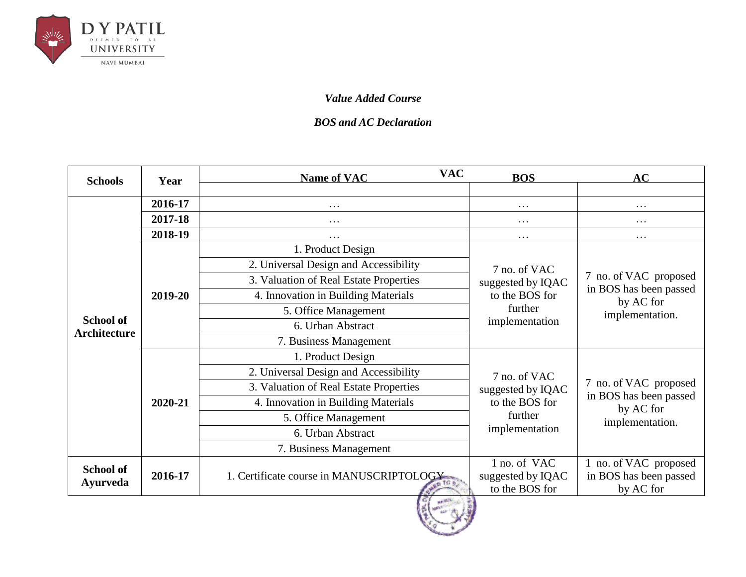

#### *Value Added Course*

#### *BOS and AC Declaration*

| <b>Schools</b>                          | Year    | <b>VAC</b><br><b>Name of VAC</b>         | <b>BOS</b>                                          | AC                                                           |
|-----------------------------------------|---------|------------------------------------------|-----------------------------------------------------|--------------------------------------------------------------|
|                                         |         |                                          |                                                     |                                                              |
|                                         | 2016-17 | $\cdots$                                 | .                                                   | $\cdots$                                                     |
|                                         | 2017-18 | $\cdots$                                 | .                                                   | $\cdots$                                                     |
|                                         | 2018-19 | .                                        | .                                                   | $\cdots$                                                     |
|                                         |         | 1. Product Design                        |                                                     |                                                              |
|                                         |         | 2. Universal Design and Accessibility    | 7 no. of VAC                                        |                                                              |
|                                         |         | 3. Valuation of Real Estate Properties   | suggested by IQAC                                   | 7 no. of VAC proposed                                        |
|                                         | 2019-20 | 4. Innovation in Building Materials      | to the BOS for                                      | in BOS has been passed<br>by AC for<br>implementation.       |
|                                         |         | 5. Office Management                     | further<br>implementation                           |                                                              |
| <b>School of</b><br><b>Architecture</b> |         | 6. Urban Abstract                        |                                                     |                                                              |
|                                         |         | 7. Business Management                   |                                                     |                                                              |
|                                         |         | 1. Product Design                        |                                                     |                                                              |
|                                         |         | 2. Universal Design and Accessibility    | 7 no. of VAC<br>suggested by IQAC                   | 7 no. of VAC proposed<br>in BOS has been passed              |
|                                         |         | 3. Valuation of Real Estate Properties   |                                                     |                                                              |
|                                         | 2020-21 | 4. Innovation in Building Materials      | to the BOS for                                      |                                                              |
|                                         |         | 5. Office Management                     | further                                             | by AC for<br>implementation.                                 |
|                                         |         | 6. Urban Abstract                        | implementation                                      |                                                              |
|                                         |         | 7. Business Management                   |                                                     |                                                              |
| <b>School of</b><br><b>Ayurveda</b>     | 2016-17 | 1. Certificate course in MANUSCRIPTOLOGY | 1 no. of VAC<br>suggested by IQAC<br>to the BOS for | 1 no. of VAC proposed<br>in BOS has been passed<br>by AC for |

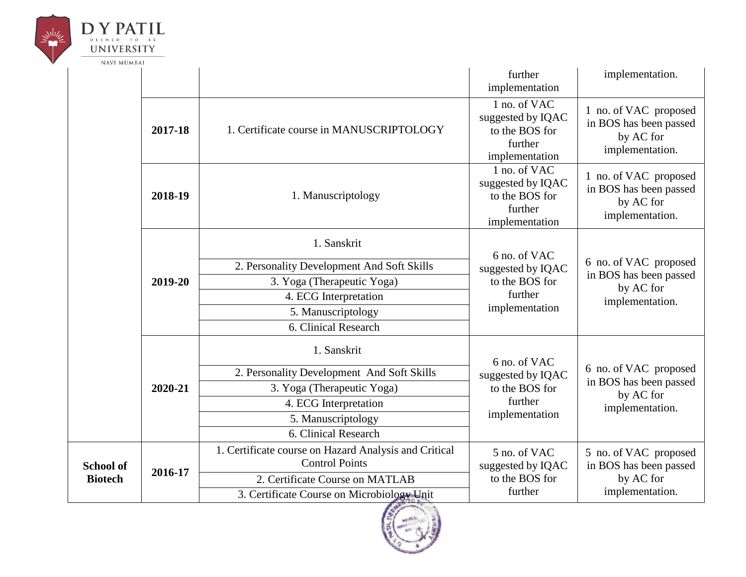

|                  |         |                                                                                | further<br>implementation                                                        | implementation.                                                                 |
|------------------|---------|--------------------------------------------------------------------------------|----------------------------------------------------------------------------------|---------------------------------------------------------------------------------|
|                  | 2017-18 | 1. Certificate course in MANUSCRIPTOLOGY                                       | 1 no. of VAC<br>suggested by IQAC<br>to the BOS for<br>further<br>implementation | 1 no. of VAC proposed<br>in BOS has been passed<br>by AC for<br>implementation. |
|                  | 2018-19 | 1. Manuscriptology                                                             | 1 no. of VAC<br>suggested by IQAC<br>to the BOS for<br>further<br>implementation | 1 no. of VAC proposed<br>in BOS has been passed<br>by AC for<br>implementation. |
|                  |         | 1. Sanskrit                                                                    | 6 no. of VAC                                                                     |                                                                                 |
|                  | 2019-20 | 2. Personality Development And Soft Skills                                     | suggested by IQAC                                                                | 6 no. of VAC proposed<br>in BOS has been passed<br>by AC for<br>implementation. |
|                  |         | 3. Yoga (Therapeutic Yoga)                                                     | to the BOS for<br>further<br>implementation                                      |                                                                                 |
|                  |         | 4. ECG Interpretation                                                          |                                                                                  |                                                                                 |
|                  |         | 5. Manuscriptology                                                             |                                                                                  |                                                                                 |
|                  |         | 6. Clinical Research                                                           |                                                                                  |                                                                                 |
|                  |         | 1. Sanskrit                                                                    | 6 no. of VAC                                                                     |                                                                                 |
|                  |         | 2. Personality Development And Soft Skills                                     | suggested by IQAC                                                                | 6 no. of VAC proposed                                                           |
|                  | 2020-21 | 3. Yoga (Therapeutic Yoga)                                                     | to the BOS for                                                                   | in BOS has been passed<br>by AC for                                             |
|                  |         | 4. ECG Interpretation                                                          | further                                                                          | implementation.                                                                 |
|                  |         | 5. Manuscriptology                                                             | implementation                                                                   |                                                                                 |
|                  |         | 6. Clinical Research                                                           |                                                                                  |                                                                                 |
| <b>School of</b> |         | 1. Certificate course on Hazard Analysis and Critical<br><b>Control Points</b> | 5 no. of VAC<br>suggested by IQAC                                                | 5 no. of VAC proposed<br>in BOS has been passed                                 |
| <b>Biotech</b>   | 2016-17 | 2. Certificate Course on MATLAB                                                | to the BOS for                                                                   | by AC for                                                                       |
|                  |         | 3. Certificate Course on Microbiology Unit                                     | further                                                                          | implementation.                                                                 |

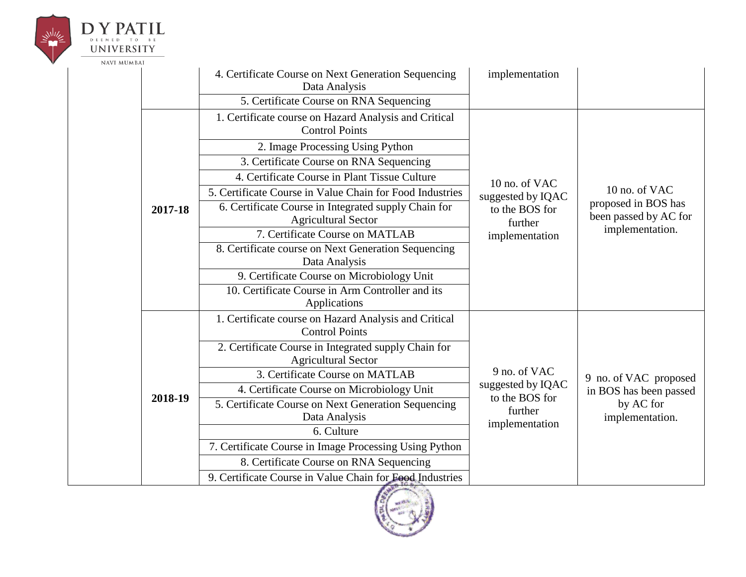

# **UNIVERSITY**

|         | 4. Certificate Course on Next Generation Sequencing<br>Data Analysis               | implementation                      |                                              |
|---------|------------------------------------------------------------------------------------|-------------------------------------|----------------------------------------------|
|         | 5. Certificate Course on RNA Sequencing                                            |                                     |                                              |
|         | 1. Certificate course on Hazard Analysis and Critical<br><b>Control Points</b>     |                                     |                                              |
|         | 2. Image Processing Using Python                                                   |                                     |                                              |
|         | 3. Certificate Course on RNA Sequencing                                            |                                     |                                              |
|         | 4. Certificate Course in Plant Tissue Culture                                      | 10 no. of VAC                       |                                              |
|         | 5. Certificate Course in Value Chain for Food Industries                           | suggested by IQAC                   | 10 no. of VAC                                |
| 2017-18 | 6. Certificate Course in Integrated supply Chain for<br><b>Agricultural Sector</b> | to the BOS for<br>further           | proposed in BOS has<br>been passed by AC for |
|         | 7. Certificate Course on MATLAB                                                    | implementation                      | implementation.                              |
|         | 8. Certificate course on Next Generation Sequencing<br>Data Analysis               |                                     |                                              |
|         | 9. Certificate Course on Microbiology Unit                                         |                                     |                                              |
|         | 10. Certificate Course in Arm Controller and its<br>Applications                   |                                     |                                              |
|         | 1. Certificate course on Hazard Analysis and Critical<br><b>Control Points</b>     |                                     |                                              |
|         | 2. Certificate Course in Integrated supply Chain for<br><b>Agricultural Sector</b> |                                     |                                              |
|         | 3. Certificate Course on MATLAB                                                    | 9 no. of VAC                        | 9 no. of VAC proposed                        |
| 2018-19 | 4. Certificate Course on Microbiology Unit                                         | suggested by IQAC<br>to the BOS for | in BOS has been passed                       |
|         | 5. Certificate Course on Next Generation Sequencing<br>Data Analysis               | further<br>implementation           | by AC for<br>implementation.                 |
|         | 6. Culture                                                                         |                                     |                                              |
|         | 7. Certificate Course in Image Processing Using Python                             |                                     |                                              |
|         | 8. Certificate Course on RNA Sequencing                                            |                                     |                                              |
|         | 9. Certificate Course in Value Chain for Food Industries                           |                                     |                                              |

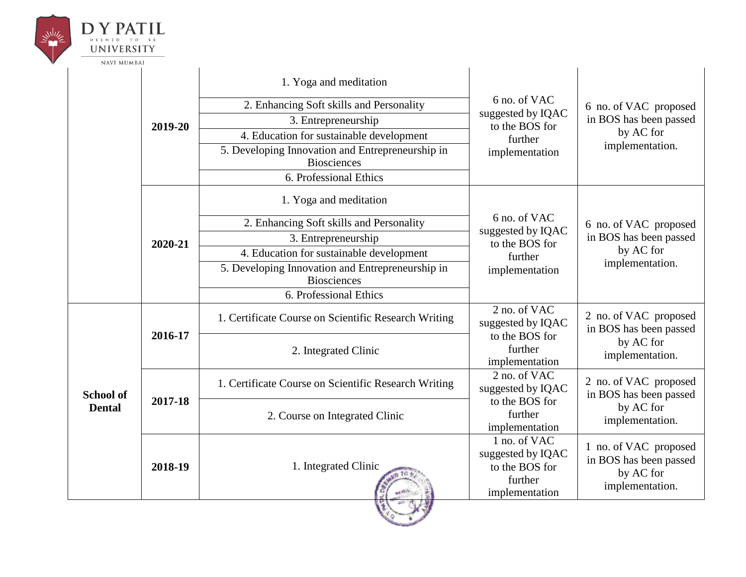| <b>UNIVERSITY</b><br>NAVI MUMBAI |         |                                                                        |                                                                                  |                                                                                 |
|----------------------------------|---------|------------------------------------------------------------------------|----------------------------------------------------------------------------------|---------------------------------------------------------------------------------|
|                                  |         | 1. Yoga and meditation                                                 |                                                                                  |                                                                                 |
|                                  | 2019-20 | 2. Enhancing Soft skills and Personality                               | 6 no. of VAC                                                                     | 6 no. of VAC proposed                                                           |
|                                  |         | 3. Entrepreneurship                                                    | suggested by IQAC<br>to the BOS for                                              | in BOS has been passed                                                          |
|                                  |         | 4. Education for sustainable development                               | further                                                                          | by AC for                                                                       |
|                                  |         | 5. Developing Innovation and Entrepreneurship in<br><b>Biosciences</b> | implementation                                                                   | implementation.                                                                 |
|                                  |         | 6. Professional Ethics                                                 |                                                                                  |                                                                                 |
| 2020-21                          |         | 1. Yoga and meditation                                                 |                                                                                  |                                                                                 |
|                                  |         | 2. Enhancing Soft skills and Personality                               | 6 no. of VAC<br>suggested by IQAC<br>to the BOS for<br>further<br>implementation | 6 no. of VAC proposed                                                           |
|                                  |         | 3. Entrepreneurship                                                    |                                                                                  | in BOS has been passed                                                          |
|                                  |         | 4. Education for sustainable development                               |                                                                                  | by AC for                                                                       |
|                                  |         | 5. Developing Innovation and Entrepreneurship in<br><b>Biosciences</b> |                                                                                  | implementation.                                                                 |
|                                  |         | 6. Professional Ethics                                                 |                                                                                  |                                                                                 |
|                                  |         | 1. Certificate Course on Scientific Research Writing                   | 2 no. of VAC<br>suggested by IQAC                                                | 2 no. of VAC proposed<br>in BOS has been passed                                 |
|                                  | 2016-17 | 2. Integrated Clinic                                                   | to the BOS for<br>further<br>implementation                                      | by AC for<br>implementation.                                                    |
| <b>School of</b>                 |         | 1. Certificate Course on Scientific Research Writing                   | 2 no. of VAC<br>suggested by IQAC                                                | 2 no. of VAC proposed<br>in BOS has been passed                                 |
| <b>Dental</b>                    | 2017-18 | 2. Course on Integrated Clinic                                         | to the BOS for<br>further<br>implementation                                      | by AC for<br>implementation.                                                    |
|                                  | 2018-19 | 1. Integrated Clinic                                                   | 1 no. of VAC<br>suggested by IQAC<br>to the BOS for<br>further<br>implementation | 1 no. of VAC proposed<br>in BOS has been passed<br>by AC for<br>implementation. |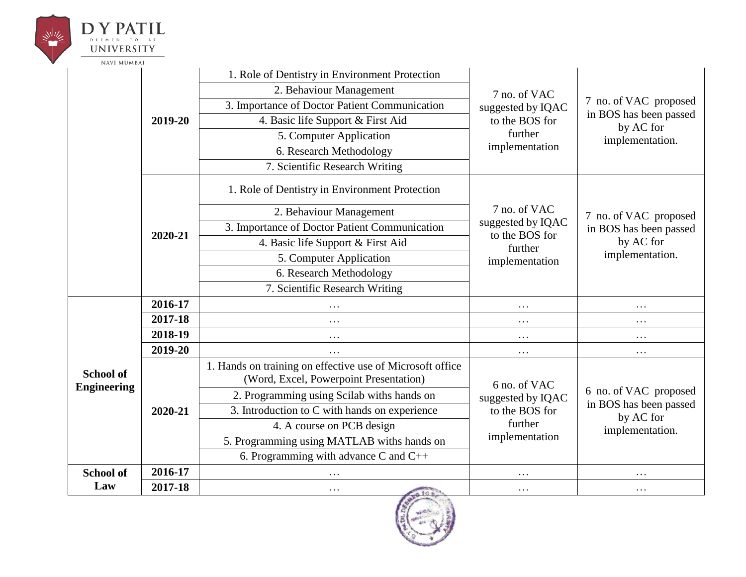|  | UNIVERSITY<br><b>NAVI MUMBAI</b>       |         |                                                                                                     |                                                                                  |                                                                                 |
|--|----------------------------------------|---------|-----------------------------------------------------------------------------------------------------|----------------------------------------------------------------------------------|---------------------------------------------------------------------------------|
|  |                                        |         | 1. Role of Dentistry in Environment Protection                                                      |                                                                                  |                                                                                 |
|  |                                        |         | 2. Behaviour Management                                                                             | 7 no. of VAC                                                                     |                                                                                 |
|  |                                        |         | 3. Importance of Doctor Patient Communication                                                       | suggested by IQAC                                                                | 7 no. of VAC proposed                                                           |
|  |                                        | 2019-20 | 4. Basic life Support & First Aid                                                                   | to the BOS for                                                                   | in BOS has been passed<br>by AC for                                             |
|  |                                        |         | 5. Computer Application                                                                             | further                                                                          | implementation.                                                                 |
|  |                                        |         | 6. Research Methodology                                                                             | implementation                                                                   |                                                                                 |
|  |                                        |         | 7. Scientific Research Writing                                                                      |                                                                                  |                                                                                 |
|  |                                        |         | 1. Role of Dentistry in Environment Protection                                                      |                                                                                  |                                                                                 |
|  |                                        | 2020-21 | 2. Behaviour Management                                                                             | 7 no. of VAC<br>suggested by IQAC<br>to the BOS for<br>further<br>implementation | 7 no. of VAC proposed<br>in BOS has been passed<br>by AC for<br>implementation. |
|  |                                        |         | 3. Importance of Doctor Patient Communication                                                       |                                                                                  |                                                                                 |
|  |                                        |         | 4. Basic life Support & First Aid                                                                   |                                                                                  |                                                                                 |
|  |                                        |         | 5. Computer Application                                                                             |                                                                                  |                                                                                 |
|  |                                        |         | 6. Research Methodology                                                                             |                                                                                  |                                                                                 |
|  |                                        |         | 7. Scientific Research Writing                                                                      |                                                                                  |                                                                                 |
|  |                                        | 2016-17 | .                                                                                                   | .                                                                                | $\ddotsc$                                                                       |
|  |                                        | 2017-18 | $\cdots$                                                                                            | $\cdots$                                                                         | $\cdots$                                                                        |
|  |                                        | 2018-19 | .                                                                                                   | .                                                                                | .                                                                               |
|  |                                        | 2019-20 |                                                                                                     | .                                                                                | $\cdots$                                                                        |
|  | <b>School of</b><br><b>Engineering</b> |         | 1. Hands on training on effective use of Microsoft office<br>(Word, Excel, Powerpoint Presentation) | 6 no. of VAC                                                                     |                                                                                 |
|  |                                        |         | 2. Programming using Scilab withs hands on                                                          | suggested by IQAC                                                                | 6 no. of VAC proposed                                                           |
|  |                                        | 2020-21 | 3. Introduction to C with hands on experience                                                       | to the BOS for                                                                   | in BOS has been passed<br>by AC for                                             |
|  |                                        |         | 4. A course on PCB design                                                                           | further                                                                          | implementation.                                                                 |
|  |                                        |         | 5. Programming using MATLAB withs hands on                                                          | implementation                                                                   |                                                                                 |
|  |                                        |         | 6. Programming with advance C and $C_{++}$                                                          |                                                                                  |                                                                                 |
|  | <b>School of</b>                       | 2016-17 |                                                                                                     | .                                                                                |                                                                                 |
|  |                                        |         |                                                                                                     |                                                                                  |                                                                                 |

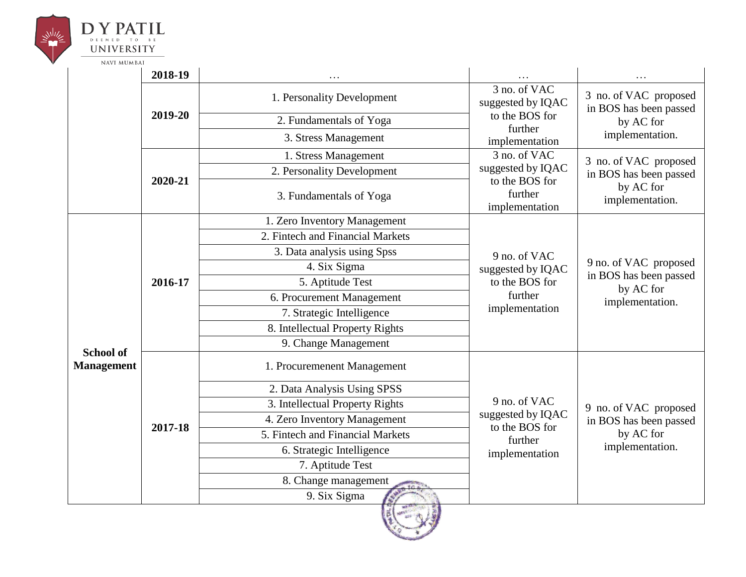

|                   | 2018-19 |                                  |                                                                                  | .                                                                               |
|-------------------|---------|----------------------------------|----------------------------------------------------------------------------------|---------------------------------------------------------------------------------|
|                   |         | 1. Personality Development       | 3 no. of VAC<br>suggested by IQAC                                                | 3 no. of VAC proposed<br>in BOS has been passed                                 |
|                   | 2019-20 | 2. Fundamentals of Yoga          | to the BOS for<br>further                                                        | by AC for                                                                       |
|                   |         | 3. Stress Management             | implementation                                                                   | implementation.                                                                 |
|                   |         | 1. Stress Management             | 3 no. of VAC                                                                     | 3 no. of VAC proposed                                                           |
|                   |         | 2. Personality Development       | suggested by IQAC                                                                | in BOS has been passed                                                          |
|                   | 2020-21 | 3. Fundamentals of Yoga          | to the BOS for<br>further<br>implementation                                      | by AC for<br>implementation.                                                    |
|                   |         | 1. Zero Inventory Management     |                                                                                  |                                                                                 |
|                   | 2016-17 | 2. Fintech and Financial Markets |                                                                                  | 9 no. of VAC proposed<br>in BOS has been passed<br>by AC for<br>implementation. |
|                   |         | 3. Data analysis using Spss      | 9 no. of VAC<br>suggested by IQAC<br>to the BOS for<br>further<br>implementation |                                                                                 |
|                   |         | 4. Six Sigma                     |                                                                                  |                                                                                 |
|                   |         | 5. Aptitude Test                 |                                                                                  |                                                                                 |
|                   |         | 6. Procurement Management        |                                                                                  |                                                                                 |
|                   |         | 7. Strategic Intelligence        |                                                                                  |                                                                                 |
|                   |         | 8. Intellectual Property Rights  |                                                                                  |                                                                                 |
| <b>School of</b>  |         | 9. Change Management             |                                                                                  |                                                                                 |
| <b>Management</b> |         | 1. Procuremenent Management      |                                                                                  |                                                                                 |
|                   |         | 2. Data Analysis Using SPSS      |                                                                                  |                                                                                 |
|                   |         | 3. Intellectual Property Rights  | 9 no. of VAC                                                                     | 9 no. of VAC proposed                                                           |
|                   | 2017-18 | 4. Zero Inventory Management     | suggested by IQAC<br>to the BOS for                                              | in BOS has been passed                                                          |
|                   |         | 5. Fintech and Financial Markets | further                                                                          | by AC for                                                                       |
|                   |         | 6. Strategic Intelligence        | implementation                                                                   | implementation.                                                                 |
|                   |         | 7. Aptitude Test                 |                                                                                  |                                                                                 |
|                   |         | 8. Change management             |                                                                                  |                                                                                 |
|                   |         | 9. Six Sigma                     |                                                                                  |                                                                                 |

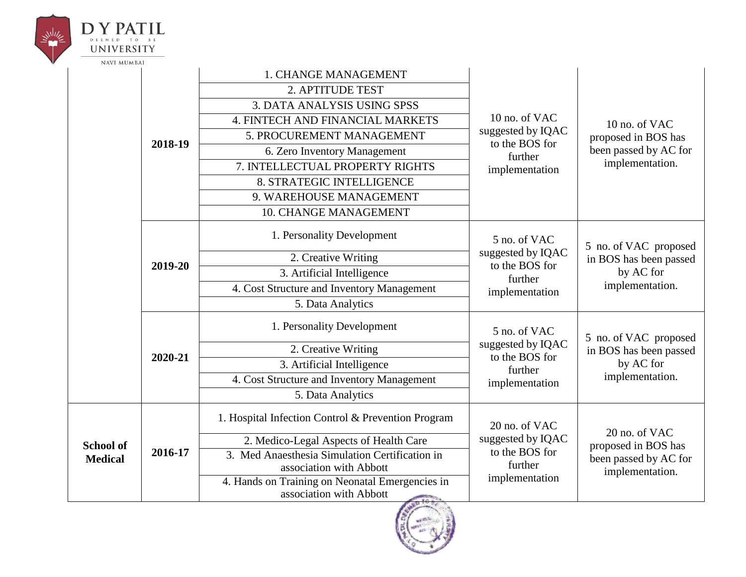|  | UNIVERSITY                                    |                                                    |                                                                            |                                                                                  |                                                              |
|--|-----------------------------------------------|----------------------------------------------------|----------------------------------------------------------------------------|----------------------------------------------------------------------------------|--------------------------------------------------------------|
|  | <b>NAVI MUMBAI</b>                            |                                                    | 1. CHANGE MANAGEMENT                                                       |                                                                                  |                                                              |
|  |                                               | 2018-19                                            | 2. APTITUDE TEST                                                           |                                                                                  |                                                              |
|  |                                               |                                                    | <b>3. DATA ANALYSIS USING SPSS</b>                                         |                                                                                  |                                                              |
|  |                                               |                                                    | 4. FINTECH AND FINANCIAL MARKETS                                           | 10 no. of VAC                                                                    | 10 no. of VAC                                                |
|  |                                               |                                                    | 5. PROCUREMENT MANAGEMENT                                                  | suggested by IQAC<br>to the BOS for                                              | proposed in BOS has                                          |
|  |                                               |                                                    | 6. Zero Inventory Management                                               | further                                                                          | been passed by AC for                                        |
|  |                                               |                                                    | 7. INTELLECTUAL PROPERTY RIGHTS                                            | implementation                                                                   | implementation.                                              |
|  |                                               |                                                    | 8. STRATEGIC INTELLIGENCE                                                  |                                                                                  |                                                              |
|  |                                               |                                                    | 9. WAREHOUSE MANAGEMENT                                                    |                                                                                  |                                                              |
|  |                                               |                                                    | <b>10. CHANGE MANAGEMENT</b>                                               |                                                                                  |                                                              |
|  |                                               | 2019-20                                            | 1. Personality Development                                                 | 5 no. of VAC<br>suggested by IQAC<br>to the BOS for<br>further<br>implementation | 5 no. of VAC proposed<br>in BOS has been passed<br>by AC for |
|  |                                               |                                                    | 2. Creative Writing                                                        |                                                                                  |                                                              |
|  |                                               |                                                    | 3. Artificial Intelligence                                                 |                                                                                  |                                                              |
|  |                                               |                                                    | 4. Cost Structure and Inventory Management                                 |                                                                                  | implementation.                                              |
|  |                                               |                                                    | 5. Data Analytics                                                          |                                                                                  |                                                              |
|  |                                               |                                                    | 1. Personality Development                                                 | 5 no. of VAC                                                                     | 5 no. of VAC proposed                                        |
|  |                                               |                                                    | 2. Creative Writing                                                        | suggested by IQAC<br>to the BOS for                                              | in BOS has been passed                                       |
|  |                                               | 2020-21                                            | 3. Artificial Intelligence                                                 | further                                                                          | by AC for                                                    |
|  |                                               |                                                    | 4. Cost Structure and Inventory Management                                 | implementation                                                                   | implementation.                                              |
|  |                                               | 5. Data Analytics                                  |                                                                            |                                                                                  |                                                              |
|  | <b>School of</b><br>2016-17<br><b>Medical</b> | 1. Hospital Infection Control & Prevention Program | 20 no. of VAC                                                              | 20 no. of VAC                                                                    |                                                              |
|  |                                               |                                                    | 2. Medico-Legal Aspects of Health Care                                     | suggested by IQAC                                                                | proposed in BOS has                                          |
|  |                                               |                                                    | 3. Med Anaesthesia Simulation Certification in<br>association with Abbott  | to the BOS for<br>further                                                        | been passed by AC for<br>implementation.                     |
|  |                                               |                                                    | 4. Hands on Training on Neonatal Emergencies in<br>association with Abbott | implementation                                                                   |                                                              |

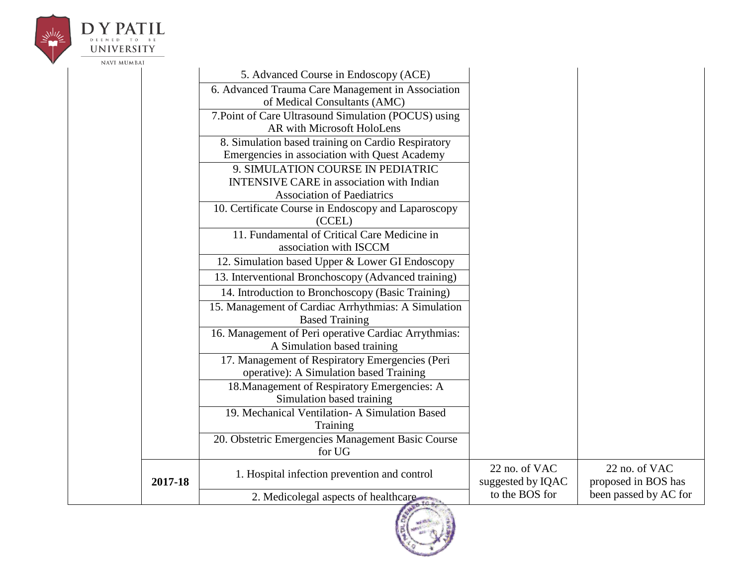

# $\label{eq:subproblem} \begin{array}{ll} \displaystyle\mathop{\boldsymbol{\mathsf{D}}}\limits_{\text{D}}\mathop{\boldsymbol{\mathsf{Y}}}\limits_{\text{EEMED}}\mathop{\boldsymbol{\mathsf{P}}\mathsf{A}}\limits^{\text{A}}\!\mathop{\boldsymbol{\mathsf{T}}}\limits_{\text{EEM}}\mathop{\boldsymbol{\mathsf{L}}}\limits^{\text{B}} \end{array}$ **UNIVERSITY**

| INAVI MUMDAI |                                                      |                   |                       |
|--------------|------------------------------------------------------|-------------------|-----------------------|
|              | 5. Advanced Course in Endoscopy (ACE)                |                   |                       |
|              | 6. Advanced Trauma Care Management in Association    |                   |                       |
|              | of Medical Consultants (AMC)                         |                   |                       |
|              | 7. Point of Care Ultrasound Simulation (POCUS) using |                   |                       |
|              | AR with Microsoft HoloLens                           |                   |                       |
|              | 8. Simulation based training on Cardio Respiratory   |                   |                       |
|              | Emergencies in association with Quest Academy        |                   |                       |
|              | 9. SIMULATION COURSE IN PEDIATRIC                    |                   |                       |
|              | <b>INTENSIVE CARE</b> in association with Indian     |                   |                       |
|              | <b>Association of Paediatrics</b>                    |                   |                       |
|              | 10. Certificate Course in Endoscopy and Laparoscopy  |                   |                       |
|              | (CCEL)                                               |                   |                       |
|              | 11. Fundamental of Critical Care Medicine in         |                   |                       |
|              | association with ISCCM                               |                   |                       |
|              | 12. Simulation based Upper & Lower GI Endoscopy      |                   |                       |
|              | 13. Interventional Bronchoscopy (Advanced training)  |                   |                       |
|              | 14. Introduction to Bronchoscopy (Basic Training)    |                   |                       |
|              | 15. Management of Cardiac Arrhythmias: A Simulation  |                   |                       |
|              | <b>Based Training</b>                                |                   |                       |
|              | 16. Management of Peri operative Cardiac Arrythmias: |                   |                       |
|              | A Simulation based training                          |                   |                       |
|              | 17. Management of Respiratory Emergencies (Peri      |                   |                       |
|              | operative): A Simulation based Training              |                   |                       |
|              | 18. Management of Respiratory Emergencies: A         |                   |                       |
|              | Simulation based training                            |                   |                       |
|              | 19. Mechanical Ventilation-A Simulation Based        |                   |                       |
|              | Training                                             |                   |                       |
|              | 20. Obstetric Emergencies Management Basic Course    |                   |                       |
|              | for UG                                               |                   |                       |
|              | 1. Hospital infection prevention and control         | 22 no. of VAC     | 22 no. of VAC         |
| 2017-18      |                                                      | suggested by IQAC | proposed in BOS has   |
|              | 2. Medicolegal aspects of healthcare                 | to the BOS for    | been passed by AC for |
|              |                                                      |                   |                       |

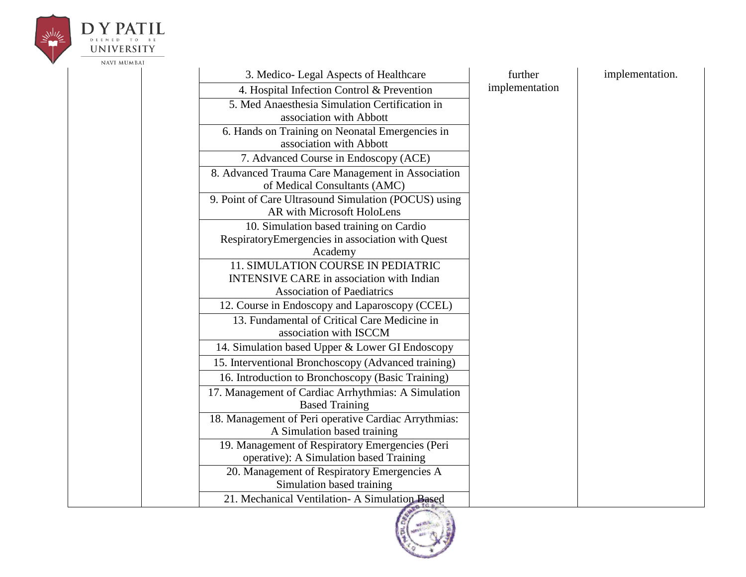

# **UNIVERSITY**

| 3. Medico-Legal Aspects of Healthcare                                                      | further        | implementation. |
|--------------------------------------------------------------------------------------------|----------------|-----------------|
| 4. Hospital Infection Control & Prevention                                                 | implementation |                 |
| 5. Med Anaesthesia Simulation Certification in<br>association with Abbott                  |                |                 |
| 6. Hands on Training on Neonatal Emergencies in<br>association with Abbott                 |                |                 |
| 7. Advanced Course in Endoscopy (ACE)                                                      |                |                 |
| 8. Advanced Trauma Care Management in Association<br>of Medical Consultants (AMC)          |                |                 |
| 9. Point of Care Ultrasound Simulation (POCUS) using<br>AR with Microsoft HoloLens         |                |                 |
| 10. Simulation based training on Cardio                                                    |                |                 |
| RespiratoryEmergencies in association with Quest<br>Academy                                |                |                 |
| 11. SIMULATION COURSE IN PEDIATRIC                                                         |                |                 |
| <b>INTENSIVE CARE</b> in association with Indian                                           |                |                 |
| <b>Association of Paediatrics</b>                                                          |                |                 |
| 12. Course in Endoscopy and Laparoscopy (CCEL)                                             |                |                 |
| 13. Fundamental of Critical Care Medicine in<br>association with ISCCM                     |                |                 |
| 14. Simulation based Upper & Lower GI Endoscopy                                            |                |                 |
| 15. Interventional Bronchoscopy (Advanced training)                                        |                |                 |
| 16. Introduction to Bronchoscopy (Basic Training)                                          |                |                 |
| 17. Management of Cardiac Arrhythmias: A Simulation<br><b>Based Training</b>               |                |                 |
| 18. Management of Peri operative Cardiac Arrythmias:<br>A Simulation based training        |                |                 |
| 19. Management of Respiratory Emergencies (Peri<br>operative): A Simulation based Training |                |                 |
| 20. Management of Respiratory Emergencies A<br>Simulation based training                   |                |                 |
| 21. Mechanical Ventilation-A Simulation Based                                              |                |                 |

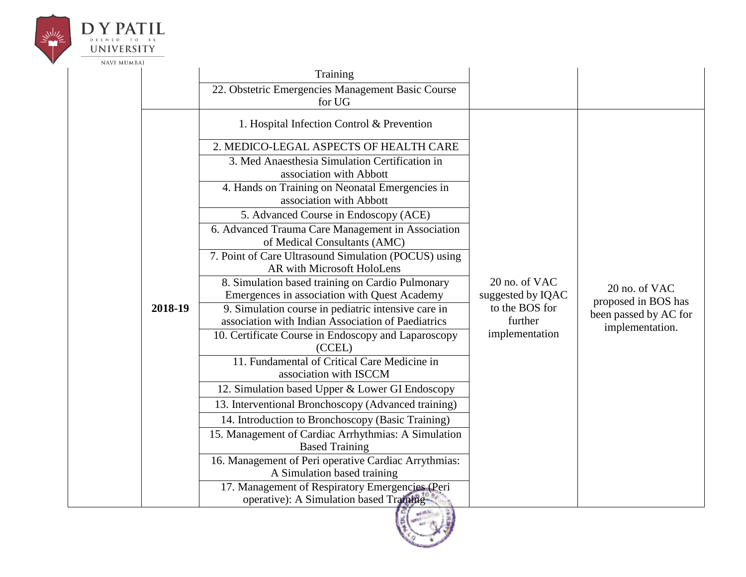

# **UNIVERSITY**

|         | Training<br>22. Obstetric Emergencies Management Basic Course                                                                                                                                                                                                                                                                                                                                                                                                                                                                                                                                                                                                                                                                                                                                                                                                                                                                                                                                                                                                                                                                                                                                                                      |                                                                                   |                                                                                  |
|---------|------------------------------------------------------------------------------------------------------------------------------------------------------------------------------------------------------------------------------------------------------------------------------------------------------------------------------------------------------------------------------------------------------------------------------------------------------------------------------------------------------------------------------------------------------------------------------------------------------------------------------------------------------------------------------------------------------------------------------------------------------------------------------------------------------------------------------------------------------------------------------------------------------------------------------------------------------------------------------------------------------------------------------------------------------------------------------------------------------------------------------------------------------------------------------------------------------------------------------------|-----------------------------------------------------------------------------------|----------------------------------------------------------------------------------|
| 2018-19 | for UG<br>1. Hospital Infection Control & Prevention<br>2. MEDICO-LEGAL ASPECTS OF HEALTH CARE<br>3. Med Anaesthesia Simulation Certification in<br>association with Abbott<br>4. Hands on Training on Neonatal Emergencies in<br>association with Abbott<br>5. Advanced Course in Endoscopy (ACE)<br>6. Advanced Trauma Care Management in Association<br>of Medical Consultants (AMC)<br>7. Point of Care Ultrasound Simulation (POCUS) using<br>AR with Microsoft HoloLens<br>8. Simulation based training on Cardio Pulmonary<br>Emergences in association with Quest Academy<br>9. Simulation course in pediatric intensive care in<br>association with Indian Association of Paediatrics<br>10. Certificate Course in Endoscopy and Laparoscopy<br>(CCEL)<br>11. Fundamental of Critical Care Medicine in<br>association with ISCCM<br>12. Simulation based Upper & Lower GI Endoscopy<br>13. Interventional Bronchoscopy (Advanced training)<br>14. Introduction to Bronchoscopy (Basic Training)<br>15. Management of Cardiac Arrhythmias: A Simulation<br><b>Based Training</b><br>16. Management of Peri operative Cardiac Arrythmias:<br>A Simulation based training<br>17. Management of Respiratory Emergencies (Peri | 20 no. of VAC<br>suggested by IQAC<br>to the BOS for<br>further<br>implementation | 20 no. of VAC<br>proposed in BOS has<br>been passed by AC for<br>implementation. |
|         | operative): A Simulation based Training                                                                                                                                                                                                                                                                                                                                                                                                                                                                                                                                                                                                                                                                                                                                                                                                                                                                                                                                                                                                                                                                                                                                                                                            |                                                                                   |                                                                                  |

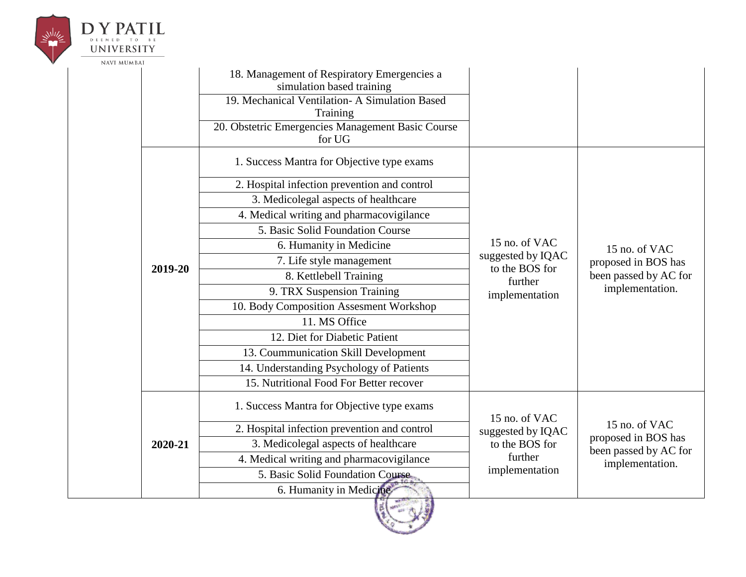

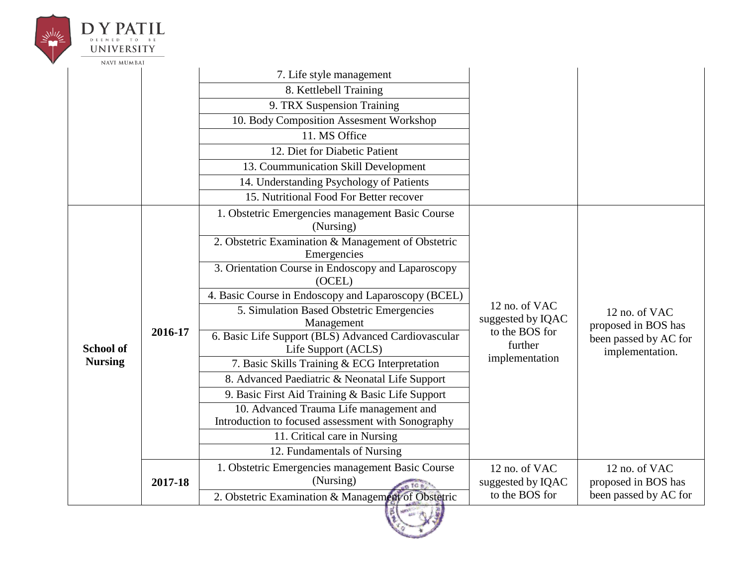|  | <b>UNIVERSITY</b>  |         |                                                                            |                                    |                                          |
|--|--------------------|---------|----------------------------------------------------------------------------|------------------------------------|------------------------------------------|
|  | <b>NAVI MUMBAI</b> |         |                                                                            |                                    |                                          |
|  |                    |         | 7. Life style management                                                   |                                    |                                          |
|  |                    |         | 8. Kettlebell Training                                                     |                                    |                                          |
|  |                    |         | 9. TRX Suspension Training                                                 |                                    |                                          |
|  |                    |         | 10. Body Composition Assesment Workshop                                    |                                    |                                          |
|  |                    |         | 11. MS Office                                                              |                                    |                                          |
|  |                    |         | 12. Diet for Diabetic Patient                                              |                                    |                                          |
|  |                    |         | 13. Coummunication Skill Development                                       |                                    |                                          |
|  |                    |         | 14. Understanding Psychology of Patients                                   |                                    |                                          |
|  |                    |         | 15. Nutritional Food For Better recover                                    |                                    |                                          |
|  |                    |         | 1. Obstetric Emergencies management Basic Course                           |                                    |                                          |
|  |                    |         | (Nursing)                                                                  |                                    |                                          |
|  |                    | 2016-17 | 2. Obstetric Examination & Management of Obstetric                         |                                    |                                          |
|  |                    |         | Emergencies                                                                |                                    |                                          |
|  |                    |         | 3. Orientation Course in Endoscopy and Laparoscopy<br>(OCEL)               |                                    |                                          |
|  |                    |         | 4. Basic Course in Endoscopy and Laparoscopy (BCEL)                        |                                    |                                          |
|  |                    |         | 5. Simulation Based Obstetric Emergencies<br>Management                    | 12 no. of VAC<br>suggested by IQAC | 12 no. of VAC<br>proposed in BOS has     |
|  | <b>School of</b>   |         | 6. Basic Life Support (BLS) Advanced Cardiovascular<br>Life Support (ACLS) | to the BOS for<br>further          | been passed by AC for<br>implementation. |
|  | <b>Nursing</b>     |         | 7. Basic Skills Training & ECG Interpretation                              | implementation                     |                                          |
|  |                    |         | 8. Advanced Paediatric & Neonatal Life Support                             |                                    |                                          |
|  |                    |         | 9. Basic First Aid Training & Basic Life Support                           |                                    |                                          |
|  |                    |         | 10. Advanced Trauma Life management and                                    |                                    |                                          |
|  |                    |         | Introduction to focused assessment with Sonography                         |                                    |                                          |
|  |                    |         | 11. Critical care in Nursing                                               |                                    |                                          |
|  |                    |         | 12. Fundamentals of Nursing                                                |                                    |                                          |
|  |                    |         | 1. Obstetric Emergencies management Basic Course                           | 12 no. of VAC                      | 12 no. of VAC                            |
|  |                    | 2017-18 | (Nursing)                                                                  | suggested by IQAC                  | proposed in BOS has                      |
|  |                    |         | 2. Obstetric Examination & Management of Obstetric                         | to the BOS for                     | been passed by AC for                    |

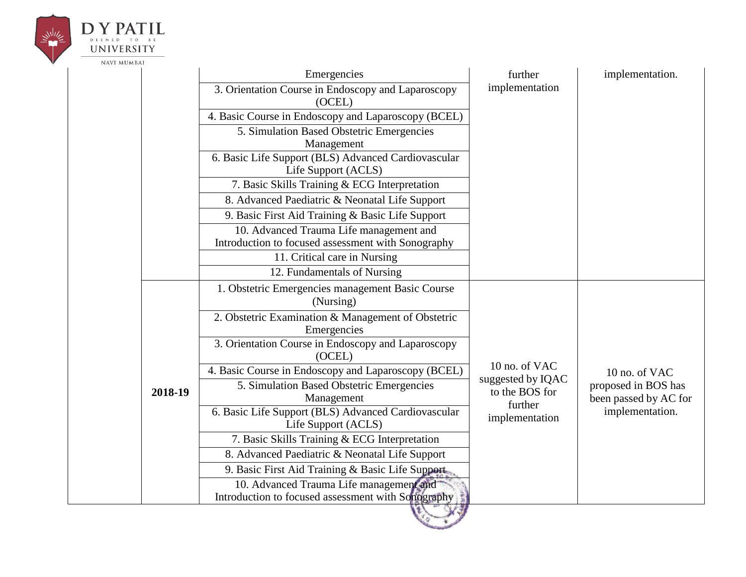

#### $\underset{\mathbf{D}}{\mathbf{D}}\underset{\mathbf{F}}{\mathbf{Y}}\underset{\mathbf{F}}{\mathbf{P}}\underset{\mathbf{F}}{\mathbf{A}}\underset{\mathbf{F}}{\mathbf{T}}\underset{\mathbf{D}}{\mathbf{I}}\underset{\mathbf{F}}{\mathbf{E}}\mathbf{I}}\mathbf{L}$ **UNIVERSITY**

NAVI MUMBAI

|  |         | Emergencies<br>3. Orientation Course in Endoscopy and Laparoscopy<br>(OCEL)                   | further<br>implementation          | implementation.                              |
|--|---------|-----------------------------------------------------------------------------------------------|------------------------------------|----------------------------------------------|
|  |         | 4. Basic Course in Endoscopy and Laparoscopy (BCEL)                                           |                                    |                                              |
|  |         | 5. Simulation Based Obstetric Emergencies<br>Management                                       |                                    |                                              |
|  |         | 6. Basic Life Support (BLS) Advanced Cardiovascular<br>Life Support (ACLS)                    |                                    |                                              |
|  |         | 7. Basic Skills Training & ECG Interpretation                                                 |                                    |                                              |
|  |         | 8. Advanced Paediatric & Neonatal Life Support                                                |                                    |                                              |
|  |         | 9. Basic First Aid Training & Basic Life Support                                              |                                    |                                              |
|  |         | 10. Advanced Trauma Life management and<br>Introduction to focused assessment with Sonography |                                    |                                              |
|  |         | 11. Critical care in Nursing                                                                  |                                    |                                              |
|  |         | 12. Fundamentals of Nursing                                                                   |                                    |                                              |
|  |         | 1. Obstetric Emergencies management Basic Course<br>(Nursing)                                 |                                    |                                              |
|  |         | 2. Obstetric Examination & Management of Obstetric<br>Emergencies                             |                                    |                                              |
|  |         | 3. Orientation Course in Endoscopy and Laparoscopy<br>(OCEL)                                  |                                    |                                              |
|  |         | 4. Basic Course in Endoscopy and Laparoscopy (BCEL)                                           | 10 no. of VAC<br>suggested by IQAC | 10 no. of VAC                                |
|  | 2018-19 | 5. Simulation Based Obstetric Emergencies<br>Management                                       | to the BOS for<br>further          | proposed in BOS has<br>been passed by AC for |
|  |         | 6. Basic Life Support (BLS) Advanced Cardiovascular<br>Life Support (ACLS)                    | implementation                     | implementation.                              |
|  |         | 7. Basic Skills Training & ECG Interpretation                                                 |                                    |                                              |
|  |         | 8. Advanced Paediatric & Neonatal Life Support                                                |                                    |                                              |
|  |         | 9. Basic First Aid Training & Basic Life Support                                              |                                    |                                              |
|  |         | 10. Advanced Trauma Life management and<br>Introduction to focused assessment with Sonography |                                    |                                              |

10 1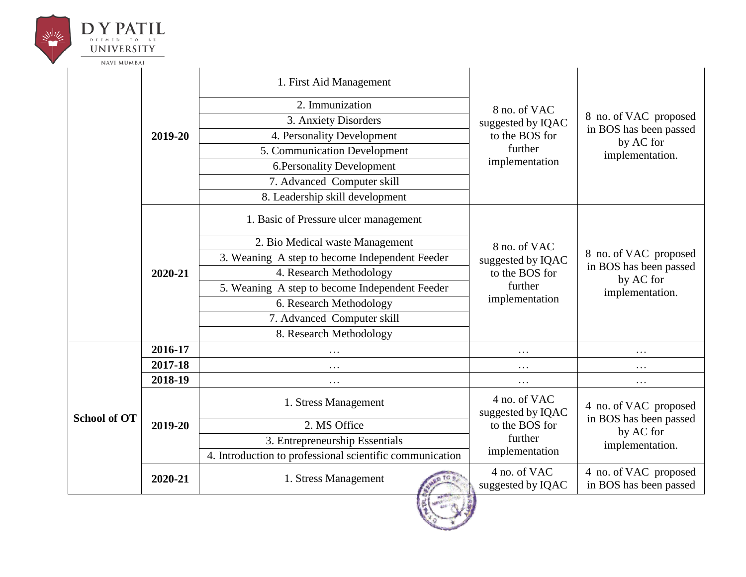| <b>UNIVERSITY</b><br><b>NAVI MUMBAI</b> |         |                                                          |                                                                                  |                                                                                 |
|-----------------------------------------|---------|----------------------------------------------------------|----------------------------------------------------------------------------------|---------------------------------------------------------------------------------|
|                                         |         | 1. First Aid Management                                  | 8 no. of VAC<br>suggested by IQAC<br>to the BOS for<br>further<br>implementation | 8 no. of VAC proposed<br>in BOS has been passed<br>by AC for<br>implementation. |
|                                         |         | 2. Immunization                                          |                                                                                  |                                                                                 |
|                                         |         | 3. Anxiety Disorders                                     |                                                                                  |                                                                                 |
|                                         | 2019-20 | 4. Personality Development                               |                                                                                  |                                                                                 |
|                                         |         | 5. Communication Development                             |                                                                                  |                                                                                 |
|                                         |         | 6. Personality Development                               |                                                                                  |                                                                                 |
|                                         |         | 7. Advanced Computer skill                               |                                                                                  |                                                                                 |
|                                         |         | 8. Leadership skill development                          |                                                                                  |                                                                                 |
|                                         | 2020-21 | 1. Basic of Pressure ulcer management                    | 8 no. of VAC<br>suggested by IQAC<br>to the BOS for<br>further<br>implementation | 8 no. of VAC proposed<br>in BOS has been passed<br>by AC for<br>implementation. |
|                                         |         | 2. Bio Medical waste Management                          |                                                                                  |                                                                                 |
|                                         |         | 3. Weaning A step to become Independent Feeder           |                                                                                  |                                                                                 |
|                                         |         | 4. Research Methodology                                  |                                                                                  |                                                                                 |
|                                         |         | 5. Weaning A step to become Independent Feeder           |                                                                                  |                                                                                 |
|                                         |         | 6. Research Methodology                                  |                                                                                  |                                                                                 |
|                                         |         | 7. Advanced Computer skill                               |                                                                                  |                                                                                 |
|                                         |         | 8. Research Methodology                                  |                                                                                  |                                                                                 |
|                                         | 2016-17 |                                                          | .                                                                                | $\cdots$                                                                        |
|                                         | 2017-18 | $\cdots$                                                 | .                                                                                | $\cdots$                                                                        |
|                                         | 2018-19 | $\cdots$                                                 | $\cdots$                                                                         | $\cdots$                                                                        |
| <b>School of OT</b>                     | 2019-20 | 1. Stress Management                                     | 4 no. of VAC<br>suggested by IQAC<br>to the BOS for<br>further                   | 4 no. of VAC proposed<br>in BOS has been passed<br>by AC for<br>implementation. |
|                                         |         | 2. MS Office                                             |                                                                                  |                                                                                 |
|                                         |         | 3. Entrepreneurship Essentials                           |                                                                                  |                                                                                 |
|                                         |         | 4. Introduction to professional scientific communication | implementation                                                                   |                                                                                 |
|                                         | 2020-21 | 1. Stress Management                                     | 4 no. of VAC<br>suggested by IQAC                                                | 4 no. of VAC proposed<br>in BOS has been passed                                 |
|                                         |         |                                                          |                                                                                  |                                                                                 |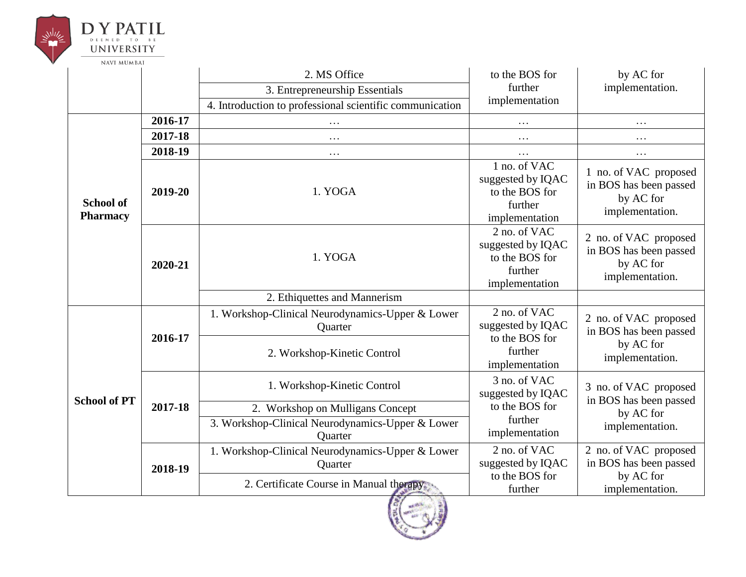

|                                     | 2. MS Office |                                                                                            | to the BOS for                                                                   | by AC for                                                                       |
|-------------------------------------|--------------|--------------------------------------------------------------------------------------------|----------------------------------------------------------------------------------|---------------------------------------------------------------------------------|
|                                     |              | 3. Entrepreneurship Essentials                                                             | further<br>implementation                                                        | implementation.                                                                 |
|                                     |              | 4. Introduction to professional scientific communication                                   |                                                                                  |                                                                                 |
|                                     | 2016-17      | $\cdots$                                                                                   | $\cdots$                                                                         | .                                                                               |
|                                     | 2017-18      | $\cdots$                                                                                   | $\cdots$                                                                         | $\cdots$                                                                        |
|                                     | 2018-19      | $\cdots$                                                                                   | $\cdots$                                                                         | $\cdots$                                                                        |
| <b>School of</b><br><b>Pharmacy</b> | 2019-20      | 1. YOGA                                                                                    | 1 no. of VAC<br>suggested by IQAC<br>to the BOS for<br>further<br>implementation | 1 no. of VAC proposed<br>in BOS has been passed<br>by AC for<br>implementation. |
|                                     | 2020-21      | 1. YOGA                                                                                    | 2 no. of VAC<br>suggested by IQAC<br>to the BOS for<br>further<br>implementation | 2 no. of VAC proposed<br>in BOS has been passed<br>by AC for<br>implementation. |
|                                     |              | 2. Ethiquettes and Mannerism                                                               |                                                                                  |                                                                                 |
| <b>School of PT</b>                 | 2016-17      | 1. Workshop-Clinical Neurodynamics-Upper & Lower<br>Quarter<br>2. Workshop-Kinetic Control | 2 no. of VAC<br>suggested by IQAC<br>to the BOS for<br>further                   | 2 no. of VAC proposed<br>in BOS has been passed<br>by AC for                    |
|                                     |              |                                                                                            | implementation                                                                   | implementation.                                                                 |
|                                     | 2017-18      | 1. Workshop-Kinetic Control                                                                | 3 no. of VAC<br>suggested by IQAC<br>to the BOS for                              | 3 no. of VAC proposed<br>in BOS has been passed<br>by AC for                    |
|                                     |              | 2. Workshop on Mulligans Concept                                                           |                                                                                  |                                                                                 |
|                                     |              | 3. Workshop-Clinical Neurodynamics-Upper & Lower<br>Quarter                                | further<br>implementation                                                        | implementation.                                                                 |
|                                     | 2018-19      | 1. Workshop-Clinical Neurodynamics-Upper & Lower<br>Quarter                                | 2 no. of VAC<br>suggested by IQAC                                                | 2 no. of VAC proposed<br>in BOS has been passed                                 |
|                                     |              | 2. Certificate Course in Manual therapy                                                    | to the BOS for<br>further                                                        | by AC for<br>implementation.                                                    |

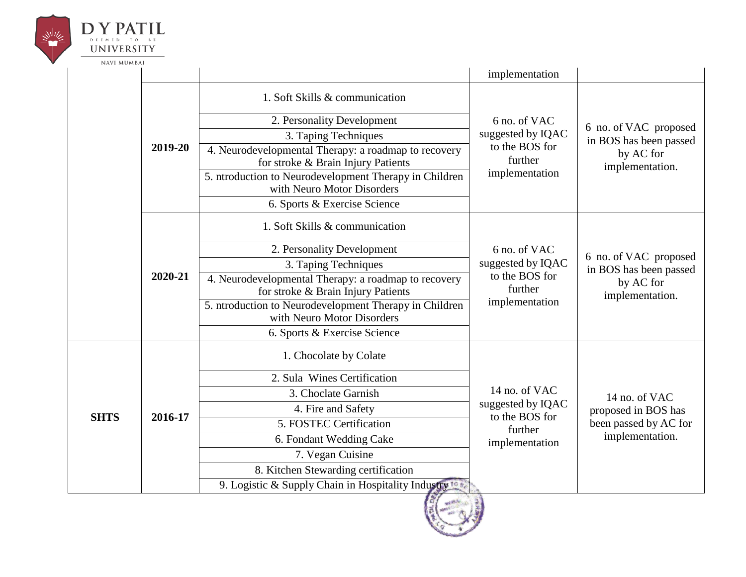

|             |         |                                                                                            | implementation                                                                    |                                                                                  |
|-------------|---------|--------------------------------------------------------------------------------------------|-----------------------------------------------------------------------------------|----------------------------------------------------------------------------------|
|             |         | 1. Soft Skills & communication                                                             |                                                                                   |                                                                                  |
|             |         | 2. Personality Development                                                                 | 6 no. of VAC<br>suggested by IQAC<br>to the BOS for<br>further<br>implementation  | 6 no. of VAC proposed<br>in BOS has been passed<br>by AC for<br>implementation.  |
|             |         | 3. Taping Techniques                                                                       |                                                                                   |                                                                                  |
|             | 2019-20 | 4. Neurodevelopmental Therapy: a roadmap to recovery<br>for stroke & Brain Injury Patients |                                                                                   |                                                                                  |
|             |         | 5. ntroduction to Neurodevelopment Therapy in Children<br>with Neuro Motor Disorders       |                                                                                   |                                                                                  |
|             |         | 6. Sports & Exercise Science                                                               |                                                                                   |                                                                                  |
|             |         | 1. Soft Skills & communication                                                             | 6 no. of VAC<br>suggested by IQAC<br>to the BOS for<br>further<br>implementation  | 6 no. of VAC proposed<br>in BOS has been passed<br>by AC for<br>implementation.  |
|             |         | 2. Personality Development                                                                 |                                                                                   |                                                                                  |
|             |         | 3. Taping Techniques                                                                       |                                                                                   |                                                                                  |
|             | 2020-21 | 4. Neurodevelopmental Therapy: a roadmap to recovery<br>for stroke & Brain Injury Patients |                                                                                   |                                                                                  |
|             |         | 5. ntroduction to Neurodevelopment Therapy in Children<br>with Neuro Motor Disorders       |                                                                                   |                                                                                  |
|             |         | 6. Sports & Exercise Science                                                               |                                                                                   |                                                                                  |
|             |         | 1. Chocolate by Colate                                                                     |                                                                                   |                                                                                  |
| <b>SHTS</b> |         | 2. Sula Wines Certification                                                                | 14 no. of VAC<br>suggested by IQAC<br>to the BOS for<br>further<br>implementation | 14 no. of VAC<br>proposed in BOS has<br>been passed by AC for<br>implementation. |
|             |         | 3. Choclate Garnish                                                                        |                                                                                   |                                                                                  |
|             | 2016-17 | 4. Fire and Safety                                                                         |                                                                                   |                                                                                  |
|             |         | 5. FOSTEC Certification                                                                    |                                                                                   |                                                                                  |
|             |         | 6. Fondant Wedding Cake                                                                    |                                                                                   |                                                                                  |
|             |         | 7. Vegan Cuisine                                                                           |                                                                                   |                                                                                  |
|             |         | 8. Kitchen Stewarding certification                                                        |                                                                                   |                                                                                  |
|             |         | 9. Logistic & Supply Chain in Hospitality Industry to the                                  |                                                                                   |                                                                                  |

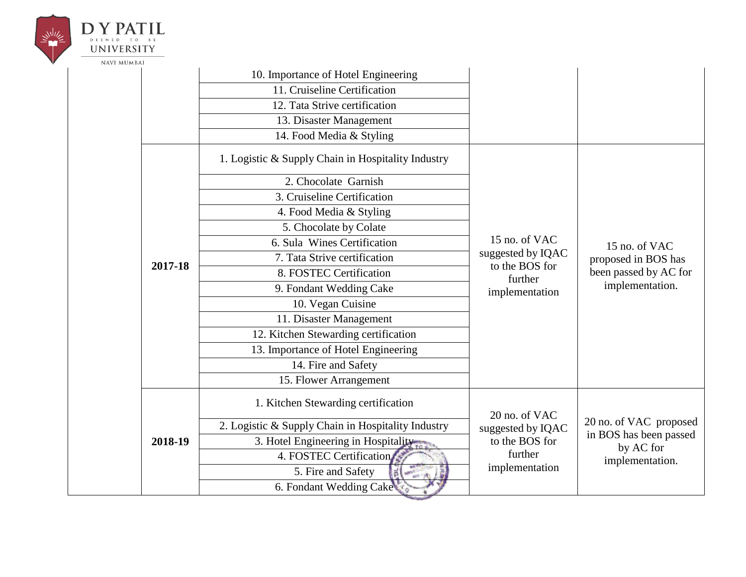| <b>UNIVERSITY</b>  |                         |                                                    |                                                                                                  |                                                                                  |
|--------------------|-------------------------|----------------------------------------------------|--------------------------------------------------------------------------------------------------|----------------------------------------------------------------------------------|
| <b>NAVI MUMBAI</b> |                         |                                                    |                                                                                                  |                                                                                  |
|                    |                         | 10. Importance of Hotel Engineering                |                                                                                                  |                                                                                  |
|                    |                         | 11. Cruiseline Certification                       |                                                                                                  |                                                                                  |
|                    |                         | 12. Tata Strive certification                      |                                                                                                  |                                                                                  |
|                    |                         | 13. Disaster Management                            |                                                                                                  |                                                                                  |
|                    |                         | 14. Food Media & Styling                           |                                                                                                  |                                                                                  |
|                    |                         | 1. Logistic & Supply Chain in Hospitality Industry |                                                                                                  |                                                                                  |
|                    |                         | 2. Chocolate Garnish                               |                                                                                                  | 15 no. of VAC<br>proposed in BOS has<br>been passed by AC for<br>implementation. |
|                    |                         | 3. Cruiseline Certification                        |                                                                                                  |                                                                                  |
|                    | 2017-18                 | 4. Food Media & Styling                            |                                                                                                  |                                                                                  |
|                    |                         | 5. Chocolate by Colate                             | 15 no. of VAC<br>suggested by IQAC<br>to the BOS for<br>further<br>implementation                |                                                                                  |
|                    |                         | 6. Sula Wines Certification                        |                                                                                                  |                                                                                  |
|                    |                         | 7. Tata Strive certification                       |                                                                                                  |                                                                                  |
|                    |                         | 8. FOSTEC Certification                            |                                                                                                  |                                                                                  |
|                    |                         | 9. Fondant Wedding Cake                            |                                                                                                  |                                                                                  |
|                    |                         | 10. Vegan Cuisine                                  |                                                                                                  |                                                                                  |
|                    |                         | 11. Disaster Management                            |                                                                                                  |                                                                                  |
|                    |                         | 12. Kitchen Stewarding certification               |                                                                                                  |                                                                                  |
|                    |                         | 13. Importance of Hotel Engineering                |                                                                                                  |                                                                                  |
|                    |                         | 14. Fire and Safety                                |                                                                                                  |                                                                                  |
|                    |                         | 15. Flower Arrangement                             |                                                                                                  |                                                                                  |
|                    |                         | 1. Kitchen Stewarding certification                | 20 no. of VAC                                                                                    |                                                                                  |
|                    | 2018-19                 | 2. Logistic & Supply Chain in Hospitality Industry | suggested by IQAC<br>to the BOS for<br>by AC for<br>further<br>implementation.<br>implementation | 20 no. of VAC proposed<br>in BOS has been passed                                 |
|                    |                         | 3. Hotel Engineering in Hospitality                |                                                                                                  |                                                                                  |
|                    |                         | 4. FOSTEC Certification                            |                                                                                                  |                                                                                  |
|                    |                         | 5. Fire and Safety                                 |                                                                                                  |                                                                                  |
|                    | 6. Fondant Wedding Cake |                                                    |                                                                                                  |                                                                                  |
|                    |                         |                                                    |                                                                                                  |                                                                                  |

**DY PATIL** 

DEEMED TO BE

 $\leq \hspace{-10pt}\substack{ \text{while}\hspace{-10pt} \underline{\hspace{15pt}} }$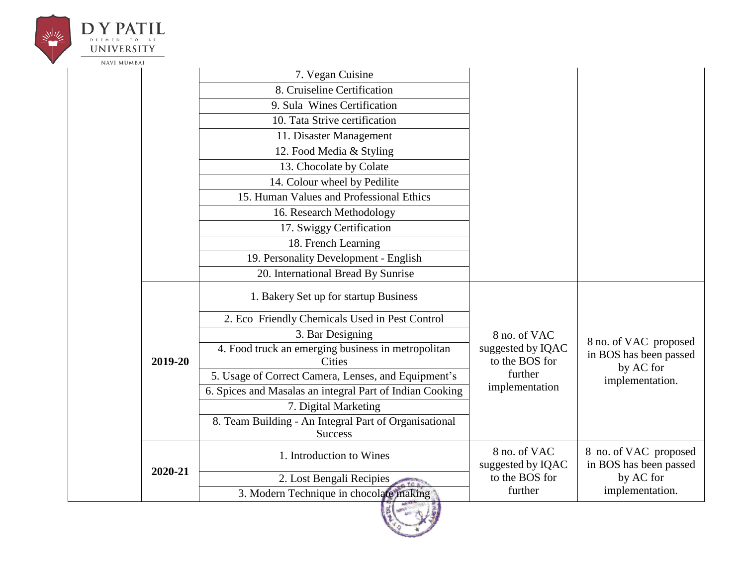| <b>UNIVERSITY</b> |         |                                                                         |                                                                                  |                                                                                 |
|-------------------|---------|-------------------------------------------------------------------------|----------------------------------------------------------------------------------|---------------------------------------------------------------------------------|
| NAVI MUMBAI       |         |                                                                         |                                                                                  |                                                                                 |
|                   |         | 7. Vegan Cuisine                                                        |                                                                                  |                                                                                 |
|                   |         | 8. Cruiseline Certification                                             |                                                                                  |                                                                                 |
|                   |         | 9. Sula Wines Certification                                             |                                                                                  |                                                                                 |
|                   |         | 10. Tata Strive certification                                           |                                                                                  |                                                                                 |
|                   |         | 11. Disaster Management                                                 |                                                                                  |                                                                                 |
|                   |         | 12. Food Media & Styling                                                |                                                                                  |                                                                                 |
|                   |         | 13. Chocolate by Colate                                                 |                                                                                  |                                                                                 |
|                   |         | 14. Colour wheel by Pedilite                                            |                                                                                  |                                                                                 |
|                   |         | 15. Human Values and Professional Ethics                                |                                                                                  |                                                                                 |
|                   |         | 16. Research Methodology                                                |                                                                                  |                                                                                 |
|                   |         | 17. Swiggy Certification                                                |                                                                                  |                                                                                 |
|                   |         | 18. French Learning                                                     |                                                                                  |                                                                                 |
|                   |         | 19. Personality Development - English                                   |                                                                                  |                                                                                 |
|                   |         | 20. International Bread By Sunrise                                      |                                                                                  |                                                                                 |
|                   |         | 1. Bakery Set up for startup Business                                   |                                                                                  |                                                                                 |
|                   |         | 2. Eco Friendly Chemicals Used in Pest Control                          | 8 no. of VAC<br>suggested by IQAC<br>to the BOS for<br>further<br>implementation | 8 no. of VAC proposed<br>in BOS has been passed<br>by AC for<br>implementation. |
|                   |         | 3. Bar Designing                                                        |                                                                                  |                                                                                 |
|                   | 2019-20 | 4. Food truck an emerging business in metropolitan<br><b>Cities</b>     |                                                                                  |                                                                                 |
|                   |         | 5. Usage of Correct Camera, Lenses, and Equipment's                     |                                                                                  |                                                                                 |
|                   |         | 6. Spices and Masalas an integral Part of Indian Cooking                |                                                                                  |                                                                                 |
|                   |         | 7. Digital Marketing                                                    |                                                                                  |                                                                                 |
|                   |         | 8. Team Building - An Integral Part of Organisational<br><b>Success</b> |                                                                                  |                                                                                 |
|                   |         | 1. Introduction to Wines                                                | 8 no. of VAC<br>suggested by IQAC                                                | 8 no. of VAC proposed<br>in BOS has been passed                                 |
|                   | 2020-21 | 2. Lost Bengali Recipies                                                | to the BOS for                                                                   | by AC for                                                                       |
|                   |         | 3. Modern Technique in chocolate making                                 | further                                                                          | implementation.                                                                 |
|                   |         |                                                                         |                                                                                  |                                                                                 |